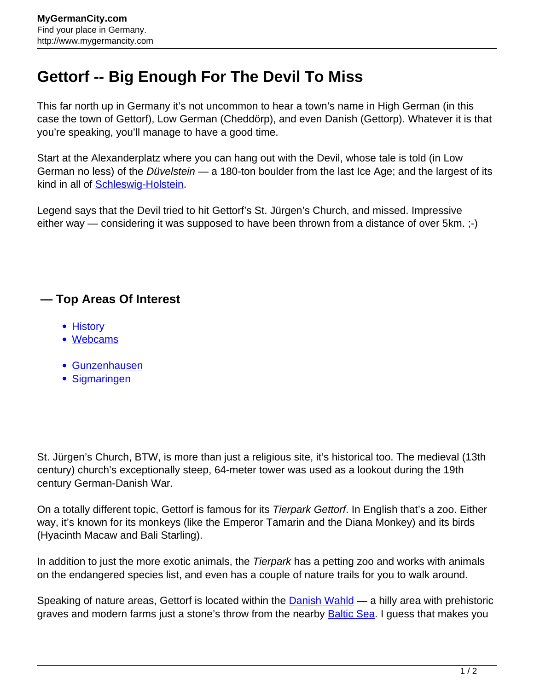## **Gettorf -- Big Enough For The Devil To Miss**

This far north up in Germany it's not uncommon to hear a town's name in High German (in this case the town of Gettorf), Low German (Cheddörp), and even Danish (Gettorp). Whatever it is that you're speaking, you'll manage to have a good time.

Start at the Alexanderplatz where you can hang out with the Devil, whose tale is told (in Low German no less) of the Düvelstein - a 180-ton boulder from the last Ice Age; and the largest of its kind in all of **Schleswig-Holstein**.

Legend says that the Devil tried to hit Gettorf's St. Jürgen's Church, and missed. Impressive either way — considering it was supposed to have been thrown from a distance of over 5km. ;-)

## **— Top Areas Of Interest**

- [History](http://www.mygermancity.com/leipzig-history)
- [Webcams](http://www.mygermancity.com/neustadt-holstein-webcams)
- [Gunzenhausen](http://www.mygermancity.com/gunzenhausen)
- [Sigmaringen](http://www.mygermancity.com/sigmaringen)

St. Jürgen's Church, BTW, is more than just a religious site, it's historical too. The medieval (13th century) church's exceptionally steep, 64-meter tower was used as a lookout during the 19th century German-Danish War.

On a totally different topic, Gettorf is famous for its Tierpark Gettorf. In English that's a zoo. Either way, it's known for its monkeys (like the Emperor Tamarin and the Diana Monkey) and its birds (Hyacinth Macaw and Bali Starling).

In addition to just the more exotic animals, the Tierpark has a petting zoo and works with animals on the endangered species list, and even has a couple of nature trails for you to walk around.

Speaking of nature areas, Gettorf is located within the **Danish Wahld** — a hilly area with prehistoric graves and modern farms just a stone's throw from the nearby **[Baltic Sea.](http://www.mygermancity.com/baltic-sea)** I guess that makes you